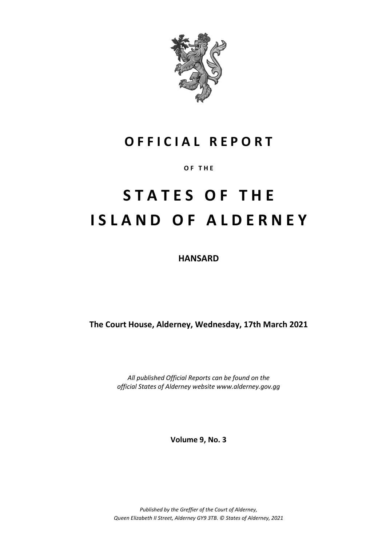

# **O F F I C I A L R E P O R T**

**O F T H E**

# **S T A T E S O F T H E I S L A N D O F A L D E R N E Y**

**HANSARD**

**The Court House, Alderney, Wednesday, 17th March 2021**

*All published Official Reports can be found on the official States of Alderney website www.alderney.gov.gg*

**Volume 9, No. 3**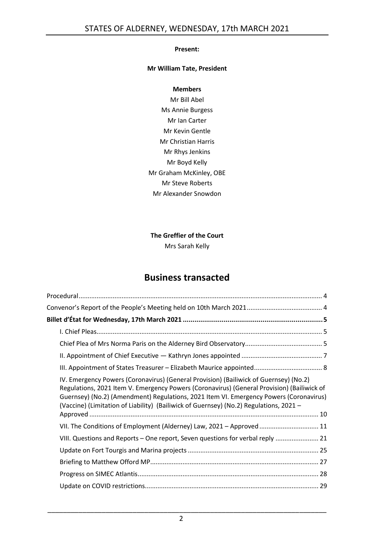#### **Present:**

#### **Mr William Tate, President**

#### **Members**

Mr Bill Abel Ms Annie Burgess Mr Ian Carter Mr Kevin Gentle Mr Christian Harris Mr Rhys Jenkins Mr Boyd Kelly Mr Graham McKinley, OBE Mr Steve Roberts Mr Alexander Snowdon

**The Greffier of the Court**

Mrs Sarah Kelly

# **Business transacted**

| IV. Emergency Powers (Coronavirus) (General Provision) (Bailiwick of Guernsey) (No.2)<br>Regulations, 2021 Item V. Emergency Powers (Coronavirus) (General Provision) (Bailiwick of<br>Guernsey) (No.2) (Amendment) Regulations, 2021 Item VI. Emergency Powers (Coronavirus)<br>(Vaccine) (Limitation of Liability) (Bailiwick of Guernsey) (No.2) Regulations, 2021 - |
|-------------------------------------------------------------------------------------------------------------------------------------------------------------------------------------------------------------------------------------------------------------------------------------------------------------------------------------------------------------------------|
| VII. The Conditions of Employment (Alderney) Law, 2021 - Approved  11                                                                                                                                                                                                                                                                                                   |
| VIII. Questions and Reports - One report, Seven questions for verbal reply  21                                                                                                                                                                                                                                                                                          |
|                                                                                                                                                                                                                                                                                                                                                                         |
|                                                                                                                                                                                                                                                                                                                                                                         |
|                                                                                                                                                                                                                                                                                                                                                                         |
|                                                                                                                                                                                                                                                                                                                                                                         |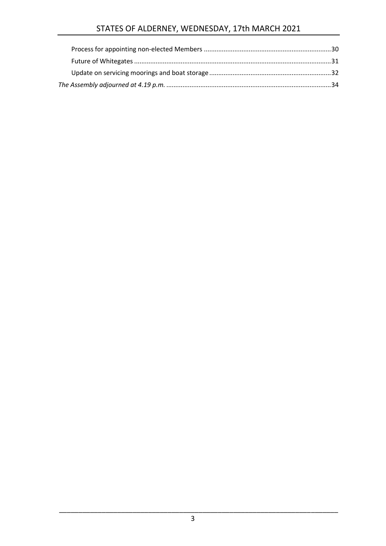# STATES OF ALDERNEY, WEDNESDAY, 17th MARCH 2021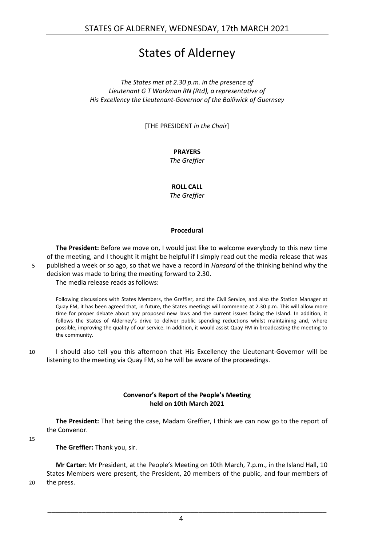# States of Alderney

*The States met at 2.30 p.m. in the presence of Lieutenant G T Workman RN (Rtd), a representative of His Excellency the Lieutenant-Governor of the Bailiwick of Guernsey*

[THE PRESIDENT *in the Chair*]

#### **PRAYERS**

*The Greffier*

#### **ROLL CALL**

*The Greffier*

#### **Procedural**

<span id="page-3-0"></span>**The President:** Before we move on, I would just like to welcome everybody to this new time of the meeting, and I thought it might be helpful if I simply read out the media release that was 5 published a week or so ago, so that we have a record in *Hansard* of the thinking behind why the decision was made to bring the meeting forward to 2.30.

The media release reads as follows:

Following discussions with States Members, the Greffier, and the Civil Service, and also the Station Manager at Quay FM, it has been agreed that, in future, the States meetings will commence at 2.30 p.m. This will allow more time for proper debate about any proposed new laws and the current issues facing the Island. In addition, it follows the States of Alderney's drive to deliver public spending reductions whilst maintaining and, where possible, improving the quality of our service. In addition, it would assist Quay FM in broadcasting the meeting to the community.

10 I should also tell you this afternoon that His Excellency the Lieutenant-Governor will be listening to the meeting via Quay FM, so he will be aware of the proceedings.

#### **Convenor's Report of the People's Meeting held on 10th March 2021**

<span id="page-3-1"></span>**The President:** That being the case, Madam Greffier, I think we can now go to the report of the Convenor.

15

**The Greffier:** Thank you, sir.

**Mr Carter:** Mr President, at the People's Meeting on 10th March, 7.p.m., in the Island Hall, 10 States Members were present, the President, 20 members of the public, and four members of 20 the press.

4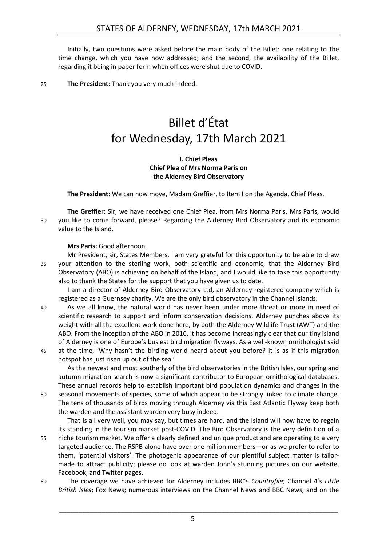Initially, two questions were asked before the main body of the Billet: one relating to the time change, which you have now addressed; and the second, the availability of the Billet, regarding it being in paper form when offices were shut due to COVID.

<span id="page-4-0"></span>25 **The President:** Thank you very much indeed.

# Billet d'État for Wednesday, 17th March 2021

#### **I. Chief Pleas Chief Plea of Mrs Norma Paris on the Alderney Bird Observatory**

<span id="page-4-2"></span><span id="page-4-1"></span>**The President:** We can now move, Madam Greffier, to Item I on the Agenda, Chief Pleas.

**The Greffier:** Sir, we have received one Chief Plea, from Mrs Norma Paris. Mrs Paris, would 30 you like to come forward, please? Regarding the Alderney Bird Observatory and its economic value to the Island.

**Mrs Paris:** Good afternoon.

Mr President, sir, States Members, I am very grateful for this opportunity to be able to draw 35 your attention to the sterling work, both scientific and economic, that the Alderney Bird Observatory (ABO) is achieving on behalf of the Island, and I would like to take this opportunity also to thank the States for the support that you have given us to date.

I am a director of Alderney Bird Observatory Ltd, an Alderney-registered company which is registered as a Guernsey charity. We are the only bird observatory in the Channel Islands.

40 As we all know, the natural world has never been under more threat or more in need of scientific research to support and inform conservation decisions. Alderney punches above its weight with all the excellent work done here, by both the Alderney Wildlife Trust (AWT) and the ABO. From the inception of the ABO in 2016, it has become increasingly clear that our tiny island of Alderney is one of Europe's busiest bird migration flyways. As a well-known ornithologist said 45 at the time, 'Why hasn't the birding world heard about you before? It is as if this migration

hotspot has just risen up out of the sea.'

As the newest and most southerly of the bird observatories in the British Isles, our spring and autumn migration search is now a significant contributor to European ornithological databases. These annual records help to establish important bird population dynamics and changes in the

50 seasonal movements of species, some of which appear to be strongly linked to climate change. The tens of thousands of birds moving through Alderney via this East Atlantic Flyway keep both the warden and the assistant warden very busy indeed.

That is all very well, you may say, but times are hard, and the Island will now have to regain its standing in the tourism market post-COVID. The Bird Observatory is the very definition of a 55 niche tourism market. We offer a clearly defined and unique product and are operating to a very targeted audience. The RSPB alone have over one million members—or as we prefer to refer to them, 'potential visitors'. The photogenic appearance of our plentiful subject matter is tailormade to attract publicity; please do look at warden John's stunning pictures on our website, Facebook, and Twitter pages.

60 The coverage we have achieved for Alderney includes BBC's *Countryfile*; Channel 4's *Little British Isles*; Fox News; numerous interviews on the Channel News and BBC News, and on the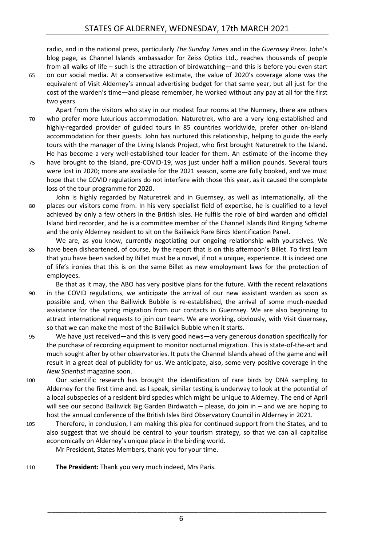radio, and in the national press, particularly *The Sunday Times* and in the *Guernsey Press*. John's blog page, as Channel Islands ambassador for Zeiss Optics Ltd., reaches thousands of people from all walks of life – such is the attraction of birdwatching—and this is before you even start

65 on our social media. At a conservative estimate, the value of 2020's coverage alone was the equivalent of Visit Alderney's annual advertising budget for that same year, but all just for the cost of the warden's time—and please remember, he worked without any pay at all for the first two years.

Apart from the visitors who stay in our modest four rooms at the Nunnery, there are others 70 who prefer more luxurious accommodation. Naturetrek, who are a very long-established and highly-regarded provider of guided tours in 85 countries worldwide, prefer other on-Island accommodation for their guests. John has nurtured this relationship, helping to guide the early tours with the manager of the Living Islands Project, who first brought Naturetrek to the Island. He has become a very well-established tour leader for them. An estimate of the income they

75 have brought to the Island, pre-COVID-19, was just under half a million pounds. Several tours were lost in 2020; more are available for the 2021 season, some are fully booked, and we must hope that the COVID regulations do not interfere with those this year, as it caused the complete loss of the tour programme for 2020.

John is highly regarded by Naturetrek and in Guernsey, as well as internationally, all the 80 places our visitors come from. In his very specialist field of expertise, he is qualified to a level achieved by only a few others in the British Isles. He fulfils the role of bird warden and official Island bird recorder, and he is a committee member of the Channel Islands Bird Ringing Scheme and the only Alderney resident to sit on the Bailiwick Rare Birds Identification Panel.

- We are, as you know, currently negotiating our ongoing relationship with yourselves. We 85 have been disheartened, of course, by the report that is on this afternoon's Billet. To first learn that you have been sacked by Billet must be a novel, if not a unique, experience. It is indeed one of life's ironies that this is on the same Billet as new employment laws for the protection of employees.
- Be that as it may, the ABO has very positive plans for the future. With the recent relaxations 90 in the COVID regulations, we anticipate the arrival of our new assistant warden as soon as possible and, when the Bailiwick Bubble is re-established, the arrival of some much-needed assistance for the spring migration from our contacts in Guernsey. We are also beginning to attract international requests to join our team. We are working, obviously, with Visit Guernsey, so that we can make the most of the Bailiwick Bubble when it starts.
- 95 We have just received—and this is very good news—a very generous donation specifically for the purchase of recording equipment to monitor nocturnal migration. This is state-of-the-art and much sought after by other observatories. It puts the Channel Islands ahead of the game and will result in a great deal of publicity for us. We anticipate, also, some very positive coverage in the *New Scientist* magazine soon.
- 100 Our scientific research has brought the identification of rare birds by DNA sampling to Alderney for the first time and. as I speak, similar testing is underway to look at the potential of a local subspecies of a resident bird species which might be unique to Alderney. The end of April will see our second Bailiwick Big Garden Birdwatch – please, do join in – and we are hoping to host the annual conference of the British Isles Bird Observatory Council in Alderney in 2021.
- 105 Therefore, in conclusion, I am making this plea for continued support from the States, and to also suggest that we should be central to your tourism strategy, so that we can all capitalise economically on Alderney's unique place in the birding world. Mr President, States Members, thank you for your time.
- 110 **The President:** Thank you very much indeed, Mrs Paris.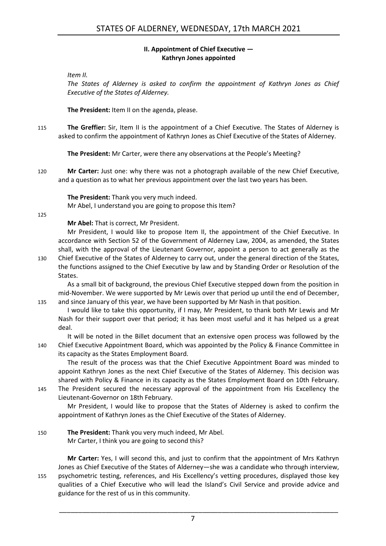#### **II. Appointment of Chief Executive — Kathryn Jones appointed**

<span id="page-6-0"></span>*Item II.*

*The States of Alderney is asked to confirm the appointment of Kathryn Jones as Chief Executive of the States of Alderney.*

**The President:** Item II on the agenda, please.

115 **The Greffier:** Sir, Item II is the appointment of a Chief Executive. The States of Alderney is asked to confirm the appointment of Kathryn Jones as Chief Executive of the States of Alderney.

**The President:** Mr Carter, were there any observations at the People's Meeting?

120 **Mr Carter:** Just one: why there was not a photograph available of the new Chief Executive, and a question as to what her previous appointment over the last two years has been.

**The President:** Thank you very much indeed.

Mr Abel, I understand you are going to propose this Item?

125

**Mr Abel:** That is correct, Mr President.

Mr President, I would like to propose Item II, the appointment of the Chief Executive. In accordance with Section 52 of the Government of Alderney Law, 2004, as amended, the States shall, with the approval of the Lieutenant Governor, appoint a person to act generally as the

130 Chief Executive of the States of Alderney to carry out, under the general direction of the States, the functions assigned to the Chief Executive by law and by Standing Order or Resolution of the States.

As a small bit of background, the previous Chief Executive stepped down from the position in mid-November. We were supported by Mr Lewis over that period up until the end of December, 135 and since January of this year, we have been supported by Mr Nash in that position.

I would like to take this opportunity, if I may, Mr President, to thank both Mr Lewis and Mr Nash for their support over that period; it has been most useful and it has helped us a great deal.

It will be noted in the Billet document that an extensive open process was followed by the 140 Chief Executive Appointment Board, which was appointed by the Policy & Finance Committee in its capacity as the States Employment Board.

The result of the process was that the Chief Executive Appointment Board was minded to appoint Kathryn Jones as the next Chief Executive of the States of Alderney. This decision was shared with Policy & Finance in its capacity as the States Employment Board on 10th February.

145 The President secured the necessary approval of the appointment from His Excellency the Lieutenant-Governor on 18th February.

Mr President, I would like to propose that the States of Alderney is asked to confirm the appointment of Kathryn Jones as the Chief Executive of the States of Alderney.

150 **The President:** Thank you very much indeed, Mr Abel. Mr Carter, I think you are going to second this?

**Mr Carter:** Yes, I will second this, and just to confirm that the appointment of Mrs Kathryn Jones as Chief Executive of the States of Alderney—she was a candidate who through interview, 155 psychometric testing, references, and His Excellency's vetting procedures, displayed those key qualities of a Chief Executive who will lead the Island's Civil Service and provide advice and guidance for the rest of us in this community.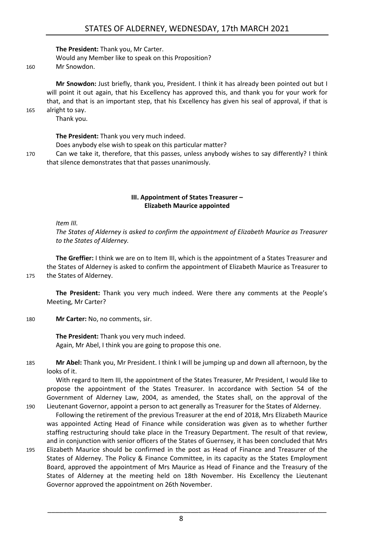**The President:** Thank you, Mr Carter. Would any Member like to speak on this Proposition?

160 Mr Snowdon.

**Mr Snowdon:** Just briefly, thank you, President. I think it has already been pointed out but I will point it out again, that his Excellency has approved this, and thank you for your work for that, and that is an important step, that his Excellency has given his seal of approval, if that is 165 alright to say.

Thank you.

**The President:** Thank you very much indeed.

Does anybody else wish to speak on this particular matter?

170 Can we take it, therefore, that this passes, unless anybody wishes to say differently? I think that silence demonstrates that that passes unanimously.

#### **III. Appointment of States Treasurer – Elizabeth Maurice appointed**

<span id="page-7-0"></span>*Item III.*

*The States of Alderney is asked to confirm the appointment of Elizabeth Maurice as Treasurer to the States of Alderney.*

**The Greffier:** I think we are on to Item III, which is the appointment of a States Treasurer and the States of Alderney is asked to confirm the appointment of Elizabeth Maurice as Treasurer to 175 the States of Alderney.

**The President:** Thank you very much indeed. Were there any comments at the People's Meeting, Mr Carter?

180 **Mr Carter:** No, no comments, sir.

**The President:** Thank you very much indeed. Again, Mr Abel, I think you are going to propose this one.

185 **Mr Abel:** Thank you, Mr President. I think I will be jumping up and down all afternoon, by the looks of it.

With regard to Item III, the appointment of the States Treasurer, Mr President, I would like to propose the appointment of the States Treasurer. In accordance with Section 54 of the Government of Alderney Law, 2004, as amended, the States shall, on the approval of the

- 190 Lieutenant Governor, appoint a person to act generally as Treasurer for the States of Alderney. Following the retirement of the previous Treasurer at the end of 2018, Mrs Elizabeth Maurice was appointed Acting Head of Finance while consideration was given as to whether further staffing restructuring should take place in the Treasury Department. The result of that review, and in conjunction with senior officers of the States of Guernsey, it has been concluded that Mrs
- 195 Elizabeth Maurice should be confirmed in the post as Head of Finance and Treasurer of the States of Alderney. The Policy & Finance Committee, in its capacity as the States Employment Board, approved the appointment of Mrs Maurice as Head of Finance and the Treasury of the States of Alderney at the meeting held on 18th November. His Excellency the Lieutenant Governor approved the appointment on 26th November.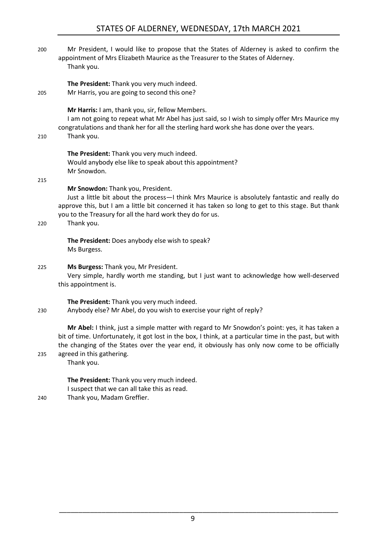### STATES OF ALDERNEY, WEDNESDAY, 17th MARCH 2021

200 Mr President, I would like to propose that the States of Alderney is asked to confirm the appointment of Mrs Elizabeth Maurice as the Treasurer to the States of Alderney. Thank you.

**The President:** Thank you very much indeed.

205 Mr Harris, you are going to second this one?

**Mr Harris:** I am, thank you, sir, fellow Members.

I am not going to repeat what Mr Abel has just said, so I wish to simply offer Mrs Maurice my congratulations and thank her for all the sterling hard work she has done over the years.

210 Thank you.

**The President:** Thank you very much indeed. Would anybody else like to speak about this appointment? Mr Snowdon.

215

#### **Mr Snowdon:** Thank you, President.

Just a little bit about the process—I think Mrs Maurice is absolutely fantastic and really do approve this, but I am a little bit concerned it has taken so long to get to this stage. But thank you to the Treasury for all the hard work they do for us.

220 Thank you.

**The President:** Does anybody else wish to speak? Ms Burgess.

#### 225 **Ms Burgess:** Thank you, Mr President.

Very simple, hardly worth me standing, but I just want to acknowledge how well-deserved this appointment is.

**The President:** Thank you very much indeed.

230 Anybody else? Mr Abel, do you wish to exercise your right of reply?

**Mr Abel:** I think, just a simple matter with regard to Mr Snowdon's point: yes, it has taken a bit of time. Unfortunately, it got lost in the box, I think, at a particular time in the past, but with the changing of the States over the year end, it obviously has only now come to be officially 235 agreed in this gathering.

Thank you.

**The President:** Thank you very much indeed. I suspect that we can all take this as read.

240 Thank you, Madam Greffier.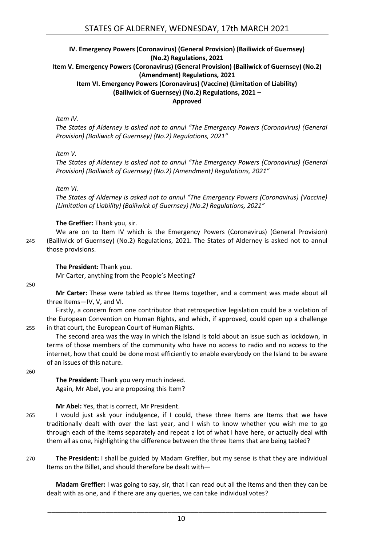#### <span id="page-9-0"></span>**IV. Emergency Powers (Coronavirus) (General Provision) (Bailiwick of Guernsey) (No.2) Regulations, 2021 Item V. Emergency Powers (Coronavirus) (General Provision) (Bailiwick of Guernsey) (No.2) (Amendment) Regulations, 2021 Item VI. Emergency Powers (Coronavirus) (Vaccine) (Limitation of Liability) (Bailiwick of Guernsey) (No.2) Regulations, 2021 – Approved**

*Item IV.*

*The States of Alderney is asked not to annul "The Emergency Powers (Coronavirus) (General Provision) (Bailiwick of Guernsey) (No.2) Regulations, 2021"*

*Item V.*

*The States of Alderney is asked not to annul "The Emergency Powers (Coronavirus) (General Provision) (Bailiwick of Guernsey) (No.2) (Amendment) Regulations, 2021"*

*Item VI.*

*The States of Alderney is asked not to annul "The Emergency Powers (Coronavirus) (Vaccine) (Limitation of Liability) (Bailiwick of Guernsey) (No.2) Regulations, 2021"*

#### **The Greffier:** Thank you, sir.

We are on to Item IV which is the Emergency Powers (Coronavirus) (General Provision) 245 (Bailiwick of Guernsey) (No.2) Regulations, 2021. The States of Alderney is asked not to annul those provisions.

#### **The President:** Thank you.

Mr Carter, anything from the People's Meeting?

250

**Mr Carter:** These were tabled as three Items together, and a comment was made about all three Items—IV, V, and VI.

Firstly, a concern from one contributor that retrospective legislation could be a violation of the European Convention on Human Rights, and which, if approved, could open up a challenge 255 in that court, the European Court of Human Rights.

The second area was the way in which the Island is told about an issue such as lockdown, in terms of those members of the community who have no access to radio and no access to the internet, how that could be done most efficiently to enable everybody on the Island to be aware of an issues of this nature.

260

**The President:** Thank you very much indeed. Again, Mr Abel, you are proposing this Item?

**Mr Abel:** Yes, that is correct, Mr President.

- 265 I would just ask your indulgence, if I could, these three Items are Items that we have traditionally dealt with over the last year, and I wish to know whether you wish me to go through each of the Items separately and repeat a lot of what I have here, or actually deal with them all as one, highlighting the difference between the three Items that are being tabled?
- 270 **The President:** I shall be guided by Madam Greffier, but my sense is that they are individual Items on the Billet, and should therefore be dealt with—

**Madam Greffier:** I was going to say, sir, that I can read out all the Items and then they can be dealt with as one, and if there are any queries, we can take individual votes?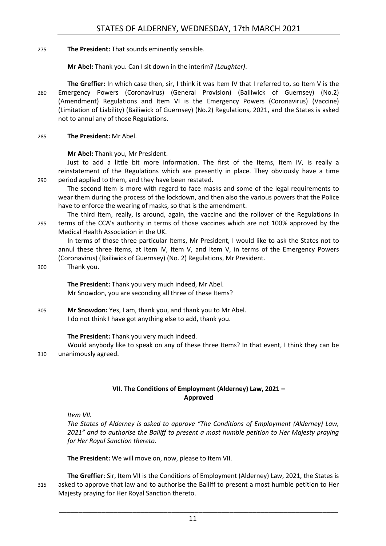275 **The President:** That sounds eminently sensible.

**Mr Abel:** Thank you. Can I sit down in the interim? *(Laughter)*.

**The Greffier:** In which case then, sir, I think it was Item IV that I referred to, so Item V is the 280 Emergency Powers (Coronavirus) (General Provision) (Bailiwick of Guernsey) (No.2) (Amendment) Regulations and Item VI is the Emergency Powers (Coronavirus) (Vaccine) (Limitation of Liability) (Bailiwick of Guernsey) (No.2) Regulations, 2021, and the States is asked not to annul any of those Regulations.

285 **The President:** Mr Abel.

**Mr Abel:** Thank you, Mr President.

Just to add a little bit more information. The first of the Items, Item IV, is really a reinstatement of the Regulations which are presently in place. They obviously have a time 290 period applied to them, and they have been restated.

The second Item is more with regard to face masks and some of the legal requirements to wear them during the process of the lockdown, and then also the various powers that the Police have to enforce the wearing of masks, so that is the amendment.

The third Item, really, is around, again, the vaccine and the rollover of the Regulations in 295 terms of the CCA's authority in terms of those vaccines which are not 100% approved by the Medical Health Association in the UK.

In terms of those three particular Items, Mr President, I would like to ask the States not to annul these three Items, at Item IV, Item V, and Item V, in terms of the Emergency Powers (Coronavirus) (Bailiwick of Guernsey) (No. 2) Regulations, Mr President.

300 Thank you.

**The President:** Thank you very much indeed, Mr Abel. Mr Snowdon, you are seconding all three of these Items?

305 **Mr Snowdon:** Yes, I am, thank you, and thank you to Mr Abel. I do not think I have got anything else to add, thank you.

#### **The President:** Thank you very much indeed.

Would anybody like to speak on any of these three Items? In that event, I think they can be 310 unanimously agreed.

#### **VII. The Conditions of Employment (Alderney) Law, 2021 – Approved**

<span id="page-10-0"></span>*Item VII.*

*The States of Alderney is asked to approve "The Conditions of Employment (Alderney) Law, 2021" and to authorise the Bailiff to present a most humble petition to Her Majesty praying for Her Royal Sanction thereto.*

**The President:** We will move on, now, please to Item VII.

**The Greffier:** Sir, Item VII is the Conditions of Employment (Alderney) Law, 2021, the States is 315 asked to approve that law and to authorise the Bailiff to present a most humble petition to Her Majesty praying for Her Royal Sanction thereto.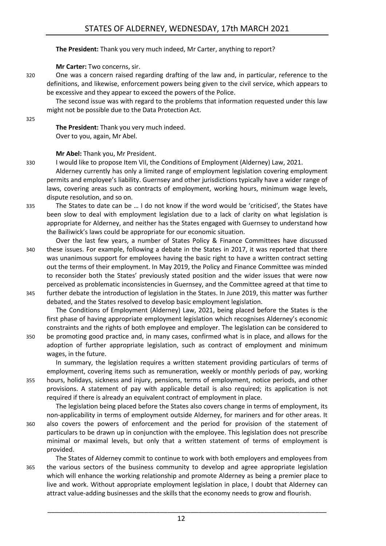**The President:** Thank you very much indeed, Mr Carter, anything to report?

**Mr Carter:** Two concerns, sir.

320 One was a concern raised regarding drafting of the law and, in particular, reference to the definitions, and likewise, enforcement powers being given to the civil service, which appears to be excessive and they appear to exceed the powers of the Police.

The second issue was with regard to the problems that information requested under this law might not be possible due to the Data Protection Act.

325

**The President:** Thank you very much indeed. Over to you, again, Mr Abel.

**Mr Abel:** Thank you, Mr President.

330 I would like to propose Item VII, the Conditions of Employment (Alderney) Law, 2021.

Alderney currently has only a limited range of employment legislation covering employment permits and employee's liability. Guernsey and other jurisdictions typically have a wider range of laws, covering areas such as contracts of employment, working hours, minimum wage levels, dispute resolution, and so on.

- 335 The States to date can be … I do not know if the word would be 'criticised', the States have been slow to deal with employment legislation due to a lack of clarity on what legislation is appropriate for Alderney, and neither has the States engaged with Guernsey to understand how the Bailiwick's laws could be appropriate for our economic situation.
- Over the last few years, a number of States Policy & Finance Committees have discussed 340 these issues. For example, following a debate in the States in 2017, it was reported that there was unanimous support for employees having the basic right to have a written contract setting out the terms of their employment. In May 2019, the Policy and Finance Committee was minded to reconsider both the States' previously stated position and the wider issues that were now perceived as problematic inconsistencies in Guernsey, and the Committee agreed at that time to 345 further debate the introduction of legislation in the States. In June 2019, this matter was further
	- debated, and the States resolved to develop basic employment legislation.

The Conditions of Employment (Alderney) Law, 2021, being placed before the States is the first phase of having appropriate employment legislation which recognises Alderney's economic constraints and the rights of both employee and employer. The legislation can be considered to

350 be promoting good practice and, in many cases, confirmed what is in place, and allows for the adoption of further appropriate legislation, such as contract of employment and minimum wages, in the future.

In summary, the legislation requires a written statement providing particulars of terms of employment, covering items such as remuneration, weekly or monthly periods of pay, working 355 hours, holidays, sickness and injury, pensions, terms of employment, notice periods, and other provisions. A statement of pay with applicable detail is also required; its application is not required if there is already an equivalent contract of employment in place.

The legislation being placed before the States also covers change in terms of employment, its non-applicability in terms of employment outside Alderney, for mariners and for other areas. It 360 also covers the powers of enforcement and the period for provision of the statement of particulars to be drawn up in conjunction with the employee. This legislation does not prescribe minimal or maximal levels, but only that a written statement of terms of employment is provided.

The States of Alderney commit to continue to work with both employers and employees from 365 the various sectors of the business community to develop and agree appropriate legislation which will enhance the working relationship and promote Alderney as being a premier place to live and work. Without appropriate employment legislation in place, I doubt that Alderney can attract value-adding businesses and the skills that the economy needs to grow and flourish.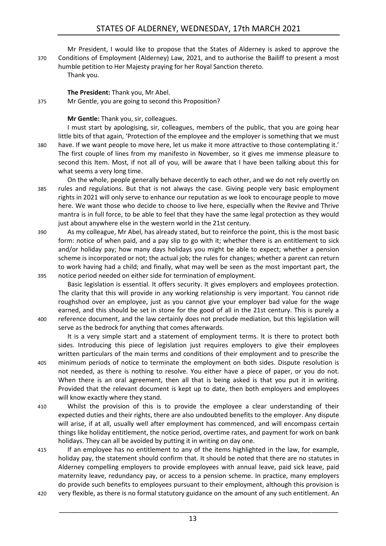Mr President, I would like to propose that the States of Alderney is asked to approve the 370 Conditions of Employment (Alderney) Law, 2021, and to authorise the Bailiff to present a most humble petition to Her Majesty praying for her Royal Sanction thereto.

Thank you.

#### **The President:** Thank you, Mr Abel.

375 Mr Gentle, you are going to second this Proposition?

#### **Mr Gentle:** Thank you, sir, colleagues.

I must start by apologising, sir, colleagues, members of the public, that you are going hear little bits of that again, 'Protection of the employee and the employer is something that we must 380 have. If we want people to move here, let us make it more attractive to those contemplating it.' The first couple of lines from my manifesto in November, so it gives me immense pleasure to second this Item. Most, if not all of you, will be aware that I have been talking about this for what seems a very long time.

On the whole, people generally behave decently to each other, and we do not rely overtly on 385 rules and regulations. But that is not always the case. Giving people very basic employment rights in 2021 will only serve to enhance our reputation as we look to encourage people to move here. We want those who decide to choose to live here, especially when the Revive and Thrive mantra is in full force, to be able to feel that they have the same legal protection as they would just about anywhere else in the western world in the 21st century.

390 As my colleague, Mr Abel, has already stated, but to reinforce the point, this is the most basic form: notice of when paid, and a pay slip to go with it; whether there is an entitlement to sick and/or holiday pay; how many days holidays you might be able to expect; whether a pension scheme is incorporated or not; the actual job; the rules for changes; whether a parent can return to work having had a child; and finally, what may well be seen as the most important part, the 395 notice period needed on either side for termination of employment.

Basic legislation is essential. It offers security. It gives employers and employees protection. The clarity that this will provide in any working relationship is very important. You cannot ride roughshod over an employee, just as you cannot give your employer bad value for the wage earned, and this should be set in stone for the good of all in the 21st century. This is purely a 400 reference document, and the law certainly does not preclude mediation, but this legislation will serve as the bedrock for anything that comes afterwards.

It is a very simple start and a statement of employment terms. It is there to protect both sides. Introducing this piece of legislation just requires employers to give their employees written particulars of the main terms and conditions of their employment and to prescribe the 405 minimum periods of notice to terminate the employment on both sides. Dispute resolution is not needed, as there is nothing to resolve. You either have a piece of paper, or you do not. When there is an oral agreement, then all that is being asked is that you put it in writing. Provided that the relevant document is kept up to date, then both employers and employees will know exactly where they stand.

- 410 Whilst the provision of this is to provide the employee a clear understanding of their expected duties and their rights, there are also undoubted benefits to the employer. Any dispute will arise, if at all, usually well after employment has commenced, and will encompass certain things like holiday entitlement, the notice period, overtime rates, and payment for work on bank holidays. They can all be avoided by putting it in writing on day one.
- 415 If an employee has no entitlement to any of the items highlighted in the law, for example, holiday pay, the statement should confirm that. It should be noted that there are no statutes in Alderney compelling employers to provide employees with annual leave, paid sick leave, paid maternity leave, redundancy pay, or access to a pension scheme. In practice, many employers do provide such benefits to employees pursuant to their employment, although this provision is 420 very flexible, as there is no formal statutory guidance on the amount of any such entitlement. An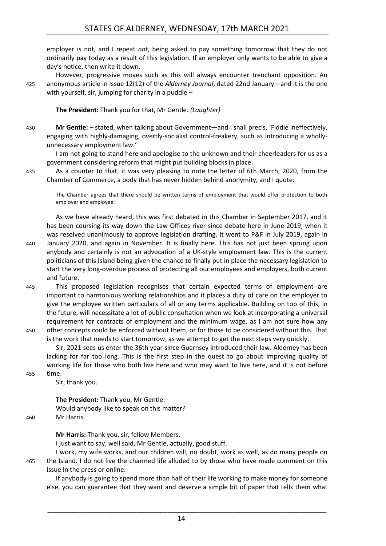employer is not, and I repeat *not*, being asked to pay something tomorrow that they do not ordinarily pay today as a result of this legislation. If an employer only wants to be able to give a day's notice, then write it down.

However, progressive moves such as this will always encounter trenchant opposition. An 425 anonymous article in Issue 12(12) of the *Alderney Journal*, dated 22nd January—and it is the one with yourself, sir, jumping for charity in a puddle –

**The President:** Thank you for that, Mr Gentle. *(Laughter)*

430 **Mr Gentle:** – stated, when talking about Government—and I shall precis, 'Fiddle ineffectively, engaging with highly-damaging, overtly-socialist control-freakery, such as introducing a whollyunnecessary employment law.'

I am not going to stand here and apologise to the unknown and their cheerleaders for us as a government considering reform that might put building blocks in place.

435 As a counter to that, it was very pleasing to note the letter of 6th March, 2020, from the Chamber of Commerce, a body that has never hidden behind anonymity, and I quote:

The Chamber agrees that there should be written terms of employment that would offer protection to both employer and employee.

As we have already heard, this was first debated in this Chamber in September 2017, and it has been coursing its way down the Law Offices river since debate here in June 2019, when it was resolved unanimously to approve legislation drafting. It went to P&F in July 2019, again in 440 January 2020, and again in November. It is finally here. This has not just been sprung upon anybody and certainly is not an advocation of a UK-style employment law. This is the current politicians of this Island being given the chance to finally put in place the necessary legislation to start the very long-overdue process of protecting all our employees and employers, both current and future.

445 This proposed legislation recognises that certain expected terms of employment are important to harmonious working relationships and it places a duty of care on the employer to give the employee written particulars of all or any terms applicable. Building on top of this, in the future, will necessitate a lot of public consultation when we look at incorporating a universal requirement for contracts of employment and the minimum wage, as I am not sure how any 450 other concepts could be enforced without them, or for those to be considered without this. That

is the work that needs to start tomorrow, as we attempt to get the next steps very quickly.

Sir, 2021 sees us enter the 36th year since Guernsey introduced their law. Alderney has been lacking for far too long. This is the first step in the quest to go about improving quality of working life for those who both live here and who may want to live here, and it is not before 455 time.

Sir, thank you.

**The President:** Thank you, Mr Gentle. Would anybody like to speak on this matter? 460 Mr Harris.

**Mr Harris:** Thank you, sir, fellow Members.

I just want to say, well said, Mr Gentle, actually, good stuff.

I work, my wife works, and our children will, no doubt, work as well, as do many people on 465 the Island. I do not live the charmed life alluded to by those who have made comment on this issue in the press or online.

If anybody is going to spend more than half of their life working to make money for someone else, you can guarantee that they want and deserve a simple bit of paper that tells them what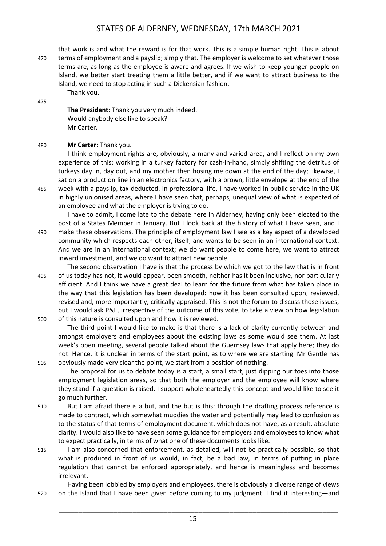that work is and what the reward is for that work. This is a simple human right. This is about 470 terms of employment and a payslip; simply that. The employer is welcome to set whatever those terms are, as long as the employee is aware and agrees. If we wish to keep younger people on Island, we better start treating them a little better, and if we want to attract business to the Island, we need to stop acting in such a Dickensian fashion.

475

**The President:** Thank you very much indeed. Would anybody else like to speak? Mr Carter.

#### 480 **Mr Carter:** Thank you.

Thank you.

I think employment rights are, obviously, a many and varied area, and I reflect on my own experience of this: working in a turkey factory for cash-in-hand, simply shifting the detritus of turkeys day in, day out, and my mother then hosing me down at the end of the day; likewise, I sat on a production line in an electronics factory, with a brown, little envelope at the end of the 485 week with a payslip, tax-deducted. In professional life, I have worked in public service in the UK in highly unionised areas, where I have seen that, perhaps, unequal view of what is expected of an employee and what the employer is trying to do.

I have to admit, I come late to the debate here in Alderney, having only been elected to the post of a States Member in January. But I look back at the history of what I have seen, and I 490 make these observations. The principle of employment law I see as a key aspect of a developed community which respects each other, itself, and wants to be seen in an international context. And we are in an international context; we do want people to come here, we want to attract inward investment, and we do want to attract new people.

- The second observation I have is that the process by which we got to the law that is in front 495 of us today has not, it would appear, been smooth, neither has it been inclusive, nor particularly efficient. And I think we have a great deal to learn for the future from what has taken place in the way that this legislation has been developed: how it has been consulted upon, reviewed, revised and, more importantly, critically appraised. This is not the forum to discuss those issues, but I would ask P&F, irrespective of the outcome of this vote, to take a view on how legislation 500 of this nature is consulted upon and how it is reviewed.
- The third point I would like to make is that there is a lack of clarity currently between and amongst employers and employees about the existing laws as some would see them. At last week's open meeting, several people talked about the Guernsey laws that apply here; they do not. Hence, it is unclear in terms of the start point, as to where we are starting. Mr Gentle has 505 obviously made very clear the point, we start from a position of nothing.

The proposal for us to debate today is a start, a small start, just dipping our toes into those employment legislation areas, so that both the employer and the employee will know where they stand if a question is raised. I support wholeheartedly this concept and would like to see it go much further.

- 510 But I am afraid there is a but, and the but is this: through the drafting process reference is made to contract, which somewhat muddies the water and potentially may lead to confusion as to the status of that terms of employment document, which does not have, as a result, absolute clarity. I would also like to have seen some guidance for employers and employees to know what to expect practically, in terms of what one of these documents looks like.
- 515 I am also concerned that enforcement, as detailed, will not be practically possible, so that what is produced in front of us would, in fact, be a bad law, in terms of putting in place regulation that cannot be enforced appropriately, and hence is meaningless and becomes irrelevant.

Having been lobbied by employers and employees, there is obviously a diverse range of views 520 on the Island that I have been given before coming to my judgment. I find it interesting—and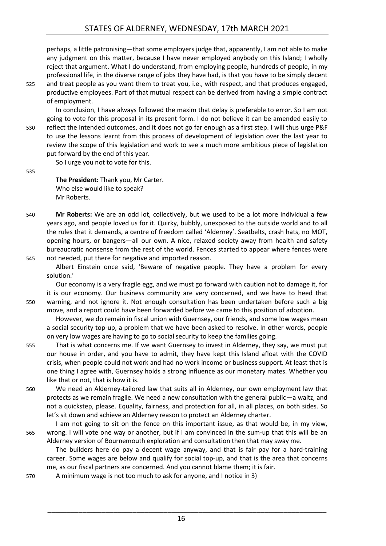perhaps, a little patronising—that some employers judge that, apparently, I am not able to make any judgment on this matter, because I have never employed anybody on this Island; I wholly reject that argument. What I do understand, from employing people, hundreds of people, in my professional life, in the diverse range of jobs they have had, is that you have to be simply decent

525 and treat people as you want them to treat you, i.e., with respect, and that produces engaged, productive employees. Part of that mutual respect can be derived from having a simple contract of employment.

In conclusion, I have always followed the maxim that delay is preferable to error. So I am not going to vote for this proposal in its present form. I do not believe it can be amended easily to 530 reflect the intended outcomes, and it does not go far enough as a first step. I will thus urge P&F to use the lessons learnt from this process of development of legislation over the last year to review the scope of this legislation and work to see a much more ambitious piece of legislation put forward by the end of this year.

So I urge you not to vote for this.

535

**The President:** Thank you, Mr Carter. Who else would like to speak? Mr Roberts.

- 540 **Mr Roberts:** We are an odd lot, collectively, but we used to be a lot more individual a few years ago, and people loved us for it. Quirky, bubbly, unexposed to the outside world and to all the rules that it demands, a centre of freedom called 'Alderney'. Seatbelts, crash hats, no MOT, opening hours, or bangers—all our own. A nice, relaxed society away from health and safety bureaucratic nonsense from the rest of the world. Fences started to appear where fences were 545 not needed, put there for negative and imported reason.
- 

Albert Einstein once said, 'Beware of negative people. They have a problem for every solution.'

Our economy is a very fragile egg, and we must go forward with caution not to damage it, for it is our economy. Our business community are very concerned, and we have to heed that 550 warning, and not ignore it. Not enough consultation has been undertaken before such a big move, and a report could have been forwarded before we came to this position of adoption.

However, we do remain in fiscal union with Guernsey, our friends, and some low wages mean a social security top-up, a problem that we have been asked to resolve. In other words, people on very low wages are having to go to social security to keep the families going.

555 That is what concerns me. If we want Guernsey to invest in Alderney, they say, we must put our house in order, and you have to admit, they have kept this Island afloat with the COVID crisis, when people could not work and had no work income or business support. At least that is one thing I agree with, Guernsey holds a strong influence as our monetary mates. Whether you like that or not, that is how it is.

560 We need an Alderney-tailored law that suits all in Alderney, our own employment law that protects as we remain fragile. We need a new consultation with the general public—a waltz, and not a quickstep, please. Equality, fairness, and protection for all, in all places, on both sides. So let's sit down and achieve an Alderney reason to protect an Alderney charter.

I am not going to sit on the fence on this important issue, as that would be, in my view, 565 wrong. I will vote one way or another, but if I am convinced in the sum-up that this will be an Alderney version of Bournemouth exploration and consultation then that may sway me.

The builders here do pay a decent wage anyway, and that is fair pay for a hard-training career. Some wages are below and qualify for social top-up, and that is the area that concerns me, as our fiscal partners are concerned. And you cannot blame them; it is fair.

570 A minimum wage is not too much to ask for anyone, and I notice in 3)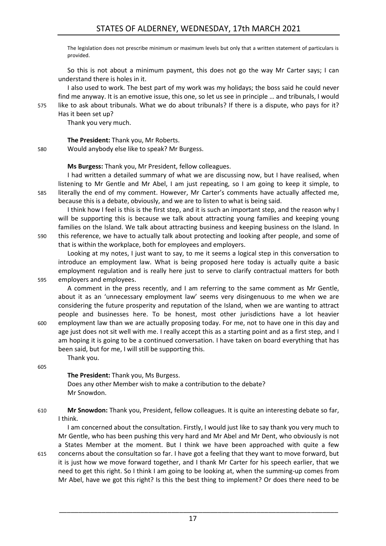## STATES OF ALDERNEY, WEDNESDAY, 17th MARCH 2021

The legislation does not prescribe minimum or maximum levels but only that a written statement of particulars is provided.

So this is not about a minimum payment, this does not go the way Mr Carter says; I can understand there is holes in it.

I also used to work. The best part of my work was my holidays; the boss said he could never find me anyway. It is an emotive issue, this one, so let us see in principle … and tribunals, I would 575 like to ask about tribunals. What we do about tribunals? If there is a dispute, who pays for it? Has it been set up?

Thank you very much.

**The President:** Thank you, Mr Roberts.

580 Would anybody else like to speak? Mr Burgess.

**Ms Burgess:** Thank you, Mr President, fellow colleagues.

I had written a detailed summary of what we are discussing now, but I have realised, when listening to Mr Gentle and Mr Abel, I am just repeating, so I am going to keep it simple, to 585 literally the end of my comment. However, Mr Carter's comments have actually affected me, because this is a debate, obviously, and we are to listen to what is being said.

I think how I feel is this is the first step, and it is such an important step, and the reason why I will be supporting this is because we talk about attracting young families and keeping young families on the Island. We talk about attracting business and keeping business on the Island. In 590 this reference, we have to actually talk about protecting and looking after people, and some of

that is within the workplace, both for employees and employers.

Looking at my notes, I just want to say, to me it seems a logical step in this conversation to introduce an employment law. What is being proposed here today is actually quite a basic employment regulation and is really here just to serve to clarify contractual matters for both 595 employers and employees.

A comment in the press recently, and I am referring to the same comment as Mr Gentle, about it as an 'unnecessary employment law' seems very disingenuous to me when we are considering the future prosperity and reputation of the Island, when we are wanting to attract people and businesses here. To be honest, most other jurisdictions have a lot heavier 600 employment law than we are actually proposing today. For me, not to have one in this day and age just does not sit well with me. I really accept this as a starting point and as a first step, and I am hoping it is going to be a continued conversation. I have taken on board everything that has been said, but for me, I will still be supporting this.

Thank you.

605

**The President:** Thank you, Ms Burgess. Does any other Member wish to make a contribution to the debate? Mr Snowdon.

610 **Mr Snowdon:** Thank you, President, fellow colleagues. It is quite an interesting debate so far, I think.

I am concerned about the consultation. Firstly, I would just like to say thank you very much to Mr Gentle, who has been pushing this very hard and Mr Abel and Mr Dent, who obviously is not a States Member at the moment. But I think we have been approached with quite a few 615 concerns about the consultation so far. I have got a feeling that they want to move forward, but it is just how we move forward together, and I thank Mr Carter for his speech earlier, that we need to get this right. So I think I am going to be looking at, when the summing-up comes from Mr Abel, have we got this right? Is this the best thing to implement? Or does there need to be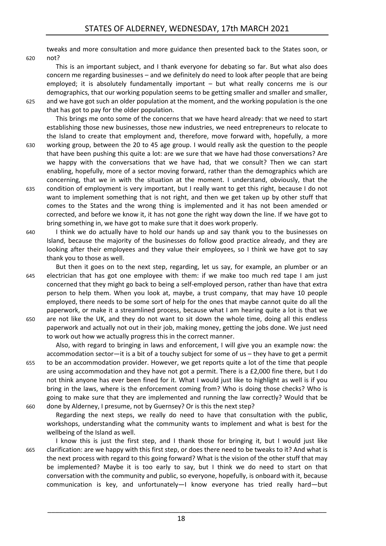tweaks and more consultation and more guidance then presented back to the States soon, or

620 not?

This is an important subject, and I thank everyone for debating so far. But what also does concern me regarding businesses – and we definitely do need to look after people that are being employed; it is absolutely fundamentally important – but what really concerns me is our demographics, that our working population seems to be getting smaller and smaller and smaller,

625 and we have got such an older population at the moment, and the working population is the one that has got to pay for the older population.

This brings me onto some of the concerns that we have heard already: that we need to start establishing those new businesses, those new industries, we need entrepreneurs to relocate to the Island to create that employment and, therefore, move forward with, hopefully, a more

- 630 working group, between the 20 to 45 age group. I would really ask the question to the people that have been pushing this quite a lot: are we sure that we have had those conversations? Are we happy with the conversations that we have had, that we consult? Then we can start enabling, hopefully, more of a sector moving forward, rather than the demographics which are concerning, that we in with the situation at the moment. I understand, obviously, that the
- 635 condition of employment is very important, but I really want to get this right, because I do not want to implement something that is not right, and then we get taken up by other stuff that comes to the States and the wrong thing is implemented and it has not been amended or corrected, and before we know it, it has not gone the right way down the line. If we have got to bring something in, we have got to make sure that it does work properly.
- 640 I think we do actually have to hold our hands up and say thank you to the businesses on Island, because the majority of the businesses do follow good practice already, and they are looking after their employees and they value their employees, so I think we have got to say thank you to those as well.

But then it goes on to the next step, regarding, let us say, for example, an plumber or an 645 electrician that has got one employee with them: if we make too much red tape I am just concerned that they might go back to being a self-employed person, rather than have that extra person to help them. When you look at, maybe, a trust company, that may have 10 people employed, there needs to be some sort of help for the ones that maybe cannot quite do all the paperwork, or make it a streamlined process, because what I am hearing quite a lot is that we 650 are not like the UK, and they do not want to sit down the whole time, doing all this endless paperwork and actually not out in their job, making money, getting the jobs done. We just need to work out how we actually progress this in the correct manner.

Also, with regard to bringing in laws and enforcement, I will give you an example now: the accommodation sector—it is a bit of a touchy subject for some of us – they have to get a permit 655 to be an accommodation provider. However, we get reports quite a lot of the time that people are using accommodation and they have not got a permit. There is a £2,000 fine there, but I do not think anyone has ever been fined for it. What I would just like to highlight as well is if you bring in the laws, where is the enforcement coming from? Who is doing those checks? Who is going to make sure that they are implemented and running the law correctly? Would that be 660 done by Alderney, I presume, not by Guernsey? Or is this the next step?

Regarding the next steps, we really do need to have that consultation with the public, workshops, understanding what the community wants to implement and what is best for the wellbeing of the Island as well.

I know this is just the first step, and I thank those for bringing it, but I would just like 665 clarification: are we happy with this first step, or does there need to be tweaks to it? And what is the next process with regard to this going forward? What is the vision of the other stuff that may be implemented? Maybe it is too early to say, but I think we do need to start on that conversation with the community and public, so everyone, hopefully, is onboard with it, because communication is key, and unfortunately—I know everyone has tried really hard—but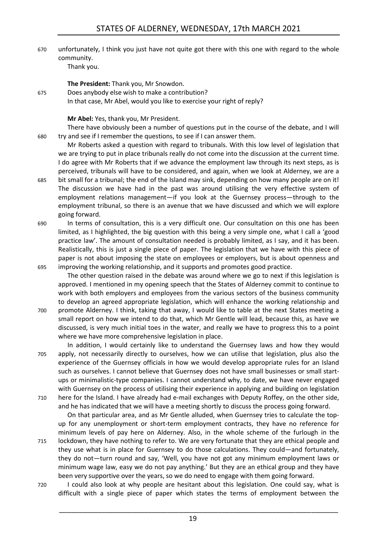670 unfortunately, I think you just have not quite got there with this one with regard to the whole community.

Thank you.

**The President:** Thank you, Mr Snowdon.

675 Does anybody else wish to make a contribution? In that case, Mr Abel, would you like to exercise your right of reply?

**Mr Abel:** Yes, thank you, Mr President.

There have obviously been a number of questions put in the course of the debate, and I will 680 try and see if I remember the questions, to see if I can answer them.

Mr Roberts asked a question with regard to tribunals. With this low level of legislation that we are trying to put in place tribunals really do not come into the discussion at the current time. I do agree with Mr Roberts that if we advance the employment law through its next steps, as is perceived, tribunals will have to be considered, and again, when we look at Alderney, we are a

- 685 bit small for a tribunal; the end of the Island may sink, depending on how many people are on it! The discussion we have had in the past was around utilising the very effective system of employment relations management—if you look at the Guernsey process—through to the employment tribunal, so there is an avenue that we have discussed and which we will explore going forward.
- 690 In terms of consultation, this is a very difficult one. Our consultation on this one has been limited, as I highlighted, the big question with this being a very simple one, what I call a 'good practice law'. The amount of consultation needed is probably limited, as I say, and it has been. Realistically, this is just a single piece of paper. The legislation that we have with this piece of paper is not about imposing the state on employees or employers, but is about openness and 695 improving the working relationship, and it supports and promotes good practice.

The other question raised in the debate was around where we go to next if this legislation is approved. I mentioned in my opening speech that the States of Alderney commit to continue to work with both employers and employees from the various sectors of the business community to develop an agreed appropriate legislation, which will enhance the working relationship and 700 promote Alderney. I think, taking that away, I would like to table at the next States meeting a

small report on how we intend to do that, which Mr Gentle will lead, because this, as have we discussed, is very much initial toes in the water, and really we have to progress this to a point where we have more comprehensive legislation in place.

In addition, I would certainly like to understand the Guernsey laws and how they would 705 apply, not necessarily directly to ourselves, how we can utilise that legislation, plus also the experience of the Guernsey officials in how we would develop appropriate rules for an Island such as ourselves. I cannot believe that Guernsey does not have small businesses or small startups or minimalistic-type companies. I cannot understand why, to date, we have never engaged with Guernsey on the process of utilising their experience in applying and building on legislation 710 here for the Island. I have already had e-mail exchanges with Deputy Roffey, on the other side,

and he has indicated that we will have a meeting shortly to discuss the process going forward.

On that particular area, and as Mr Gentle alluded, when Guernsey tries to calculate the topup for any unemployment or short-term employment contracts, they have no reference for minimum levels of pay here on Alderney. Also, in the whole scheme of the furlough in the

- 715 lockdown, they have nothing to refer to. We are very fortunate that they are ethical people and they use what is in place for Guernsey to do those calculations. They could—and fortunately, they do not—turn round and say, 'Well, you have not got any minimum employment laws or minimum wage law, easy we do not pay anything.' But they are an ethical group and they have been very supportive over the years, so we do need to engage with them going forward.
- 720 I could also look at why people are hesitant about this legislation. One could say, what is difficult with a single piece of paper which states the terms of employment between the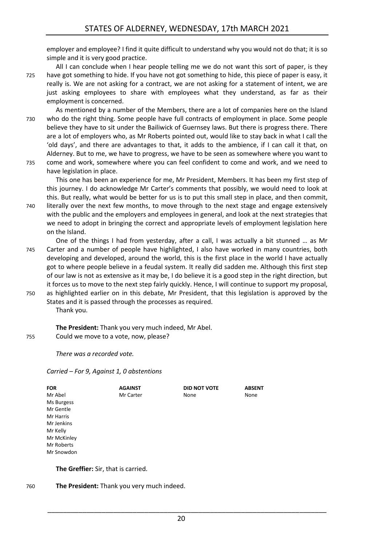employer and employee? I find it quite difficult to understand why you would not do that; it is so simple and it is very good practice.

All I can conclude when I hear people telling me we do not want this sort of paper, is they 725 have got something to hide. If you have not got something to hide, this piece of paper is easy, it really is. We are not asking for a contract, we are not asking for a statement of intent, we are just asking employees to share with employees what they understand, as far as their employment is concerned.

As mentioned by a number of the Members, there are a lot of companies here on the Island 730 who do the right thing. Some people have full contracts of employment in place. Some people believe they have to sit under the Bailiwick of Guernsey laws. But there is progress there. There are a lot of employers who, as Mr Roberts pointed out, would like to stay back in what I call the 'old days', and there are advantages to that, it adds to the ambience, if I can call it that, on Alderney. But to me, we have to progress, we have to be seen as somewhere where you want to 735 come and work, somewhere where you can feel confident to come and work, and we need to

have legislation in place.

This one has been an experience for me, Mr President, Members. It has been my first step of this journey. I do acknowledge Mr Carter's comments that possibly, we would need to look at this. But really, what would be better for us is to put this small step in place, and then commit,

- 740 literally over the next few months, to move through to the next stage and engage extensively with the public and the employers and employees in general, and look at the next strategies that we need to adopt in bringing the correct and appropriate levels of employment legislation here on the Island.
- One of the things I had from yesterday, after a call, I was actually a bit stunned … as Mr 745 Carter and a number of people have highlighted, I also have worked in many countries, both developing and developed, around the world, this is the first place in the world I have actually got to where people believe in a feudal system. It really did sadden me. Although this first step of our law is not as extensive as it may be, I do believe it is a good step in the right direction, but it forces us to move to the next step fairly quickly. Hence, I will continue to support my proposal, 750 as highlighted earlier on in this debate, Mr President, that this legislation is approved by the
- States and it is passed through the processes as required. Thank you.

**The President:** Thank you very much indeed, Mr Abel. 755 Could we move to a vote, now, please?

*There was a recorded vote.*

*Carried – For 9, Against 1, 0 abstentions*

| <b>FOR</b>  | <b>AGAINST</b> | <b>DID NOT VOTE</b> | <b>ABSENT</b> |
|-------------|----------------|---------------------|---------------|
| Mr Abel     | Mr Carter      | None                | None          |
| Ms Burgess  |                |                     |               |
| Mr Gentle   |                |                     |               |
| Mr Harris   |                |                     |               |
| Mr Jenkins  |                |                     |               |
| Mr Kelly    |                |                     |               |
| Mr McKinley |                |                     |               |
| Mr Roberts  |                |                     |               |
| Mr Snowdon  |                |                     |               |
|             |                |                     |               |

**The Greffier:** Sir, that is carried.

760 **The President:** Thank you very much indeed.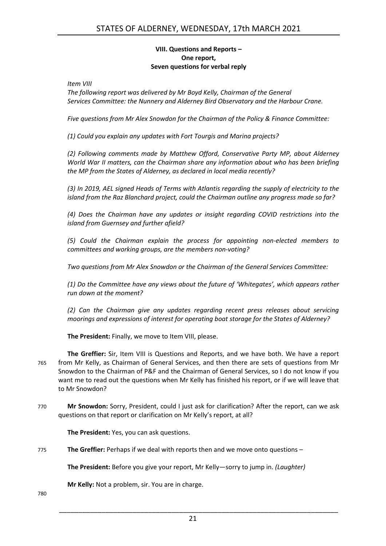#### **VIII. Questions and Reports – One report, Seven questions for verbal reply**

<span id="page-20-0"></span>*Item VIII*

*The following report was delivered by Mr Boyd Kelly, Chairman of the General Services Committee: the Nunnery and Alderney Bird Observatory and the Harbour Crane.*

*Five questions from Mr Alex Snowdon for the Chairman of the Policy & Finance Committee:*

*(1) Could you explain any updates with Fort Tourgis and Marina projects?*

*(2) Following comments made by Matthew Offord, Conservative Party MP, about Alderney World War II matters, can the Chairman share any information about who has been briefing the MP from the States of Alderney, as declared in local media recently?*

*(3) In 2019, AEL signed Heads of Terms with Atlantis regarding the supply of electricity to the island from the Raz Blanchard project, could the Chairman outline any progress made so far?*

*(4) Does the Chairman have any updates or insight regarding COVID restrictions into the island from Guernsey and further afield?*

*(5) Could the Chairman explain the process for appointing non-elected members to committees and working groups, are the members non-voting?*

*Two questions from Mr Alex Snowdon or the Chairman of the General Services Committee:*

*(1) Do the Committee have any views about the future of 'Whitegates', which appears rather run down at the moment?*

*(2) Can the Chairman give any updates regarding recent press releases about servicing moorings and expressions of interest for operating boat storage for the States of Alderney?*

**The President:** Finally, we move to Item VIII, please.

**The Greffier:** Sir, Item VIII is Questions and Reports, and we have both. We have a report 765 from Mr Kelly, as Chairman of General Services, and then there are sets of questions from Mr Snowdon to the Chairman of P&F and the Chairman of General Services, so I do not know if you want me to read out the questions when Mr Kelly has finished his report, or if we will leave that to Mr Snowdon?

770 **Mr Snowdon:** Sorry, President, could I just ask for clarification? After the report, can we ask questions on that report or clarification on Mr Kelly's report, at all?

**The President:** Yes, you can ask questions.

775 **The Greffier:** Perhaps if we deal with reports then and we move onto questions –

**The President:** Before you give your report, Mr Kelly—sorry to jump in. *(Laughter)*

**Mr Kelly:** Not a problem, sir. You are in charge.

780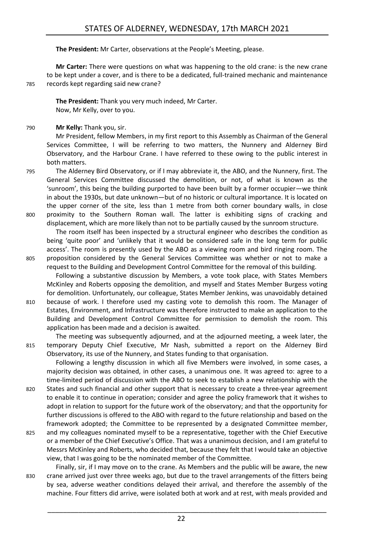**The President:** Mr Carter, observations at the People's Meeting, please.

**Mr Carter:** There were questions on what was happening to the old crane: is the new crane to be kept under a cover, and is there to be a dedicated, full-trained mechanic and maintenance 785 records kept regarding said new crane?

**The President:** Thank you very much indeed, Mr Carter. Now, Mr Kelly, over to you.

790 **Mr Kelly:** Thank you, sir.

Mr President, fellow Members, in my first report to this Assembly as Chairman of the General Services Committee, I will be referring to two matters, the Nunnery and Alderney Bird Observatory, and the Harbour Crane. I have referred to these owing to the public interest in both matters.

795 The Alderney Bird Observatory, or if I may abbreviate it, the ABO, and the Nunnery, first. The General Services Committee discussed the demolition, or not, of what is known as the 'sunroom', this being the building purported to have been built by a former occupier—we think in about the 1930s, but date unknown—but of no historic or cultural importance. It is located on the upper corner of the site, less than 1 metre from both corner boundary walls, in close 800 proximity to the Southern Roman wall. The latter is exhibiting signs of cracking and

displacement, which are more likely than not to be partially caused by the sunroom structure. The room itself has been inspected by a structural engineer who describes the condition as being 'quite poor' and 'unlikely that it would be considered safe in the long term for public access'. The room is presently used by the ABO as a viewing room and bird ringing room. The 805 proposition considered by the General Services Committee was whether or not to make a

- request to the Building and Development Control Committee for the removal of this building. Following a substantive discussion by Members, a vote took place, with States Members McKinley and Roberts opposing the demolition, and myself and States Member Burgess voting for demolition. Unfortunately, our colleague, States Member Jenkins, was unavoidably detained
- 810 because of work. I therefore used my casting vote to demolish this room. The Manager of Estates, Environment, and Infrastructure was therefore instructed to make an application to the Building and Development Control Committee for permission to demolish the room. This application has been made and a decision is awaited.

The meeting was subsequently adjourned, and at the adjourned meeting, a week later, the 815 temporary Deputy Chief Executive, Mr Nash, submitted a report on the Alderney Bird Observatory, its use of the Nunnery, and States funding to that organisation.

Following a lengthy discussion in which all five Members were involved, in some cases, a majority decision was obtained, in other cases, a unanimous one. It was agreed to: agree to a time-limited period of discussion with the ABO to seek to establish a new relationship with the

- 820 States and such financial and other support that is necessary to create a three-year agreement to enable it to continue in operation; consider and agree the policy framework that it wishes to adopt in relation to support for the future work of the observatory; and that the opportunity for further discussions is offered to the ABO with regard to the future relationship and based on the framework adopted; the Committee to be represented by a designated Committee member,
- 825 and my colleagues nominated myself to be a representative, together with the Chief Executive or a member of the Chief Executive's Office. That was a unanimous decision, and I am grateful to Messrs McKinley and Roberts, who decided that, because they felt that I would take an objective view, that I was going to be the nominated member of the Committee.
- Finally, sir, if I may move on to the crane. As Members and the public will be aware, the new 830 crane arrived just over three weeks ago, but due to the travel arrangements of the fitters being by sea, adverse weather conditions delayed their arrival, and therefore the assembly of the machine. Four fitters did arrive, were isolated both at work and at rest, with meals provided and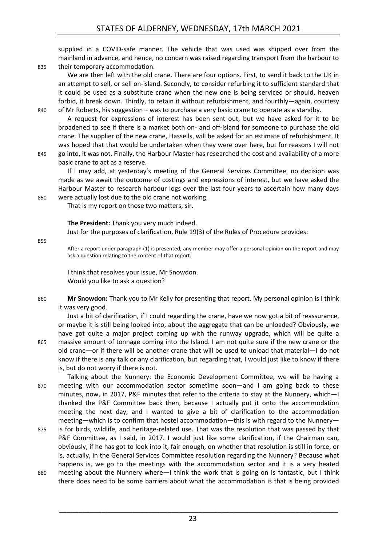supplied in a COVID-safe manner. The vehicle that was used was shipped over from the mainland in advance, and hence, no concern was raised regarding transport from the harbour to 835 their temporary accommodation.

We are then left with the old crane. There are four options. First, to send it back to the UK in an attempt to sell, or sell on-island. Secondly, to consider refurbing it to sufficient standard that it could be used as a substitute crane when the new one is being serviced or should, heaven forbid, it break down. Thirdly, to retain it without refurbishment, and fourthly—again, courtesy

840 of Mr Roberts, his suggestion – was to purchase a very basic crane to operate as a standby.

A request for expressions of interest has been sent out, but we have asked for it to be broadened to see if there is a market both on- and off-island for someone to purchase the old crane. The supplier of the new crane, Hassells, will be asked for an estimate of refurbishment. It was hoped that that would be undertaken when they were over here, but for reasons I will not 845 go into, it was not. Finally, the Harbour Master has researched the cost and availability of a more

basic crane to act as a reserve.

If I may add, at yesterday's meeting of the General Services Committee, no decision was made as we await the outcome of costings and expressions of interest, but we have asked the Harbour Master to research harbour logs over the last four years to ascertain how many days 850 were actually lost due to the old crane not working.

That is my report on those two matters, sir.

**The President:** Thank you very much indeed.

Just for the purposes of clarification, Rule 19(3) of the Rules of Procedure provides:

855

After a report under paragraph (1) is presented, any member may offer a personal opinion on the report and may ask a question relating to the content of that report.

I think that resolves your issue, Mr Snowdon. Would you like to ask a question?

860 **Mr Snowdon:** Thank you to Mr Kelly for presenting that report. My personal opinion is I think it was very good.

Just a bit of clarification, if I could regarding the crane, have we now got a bit of reassurance, or maybe it is still being looked into, about the aggregate that can be unloaded? Obviously, we have got quite a major project coming up with the runway upgrade, which will be quite a 865 massive amount of tonnage coming into the Island. I am not quite sure if the new crane or the old crane—or if there will be another crane that will be used to unload that material—I do not know if there is any talk or any clarification, but regarding that, I would just like to know if there is, but do not worry if there is not.

Talking about the Nunnery: the Economic Development Committee, we will be having a 870 meeting with our accommodation sector sometime soon—and I am going back to these minutes, now, in 2017, P&F minutes that refer to the criteria to stay at the Nunnery, which—I thanked the P&F Committee back then, because I actually put it onto the accommodation meeting the next day, and I wanted to give a bit of clarification to the accommodation meeting—which is to confirm that hostel accommodation—this is with regard to the Nunnery—

- 875 is for birds, wildlife, and heritage-related use. That was the resolution that was passed by that P&F Committee, as I said, in 2017. I would just like some clarification, if the Chairman can, obviously, if he has got to look into it, fair enough, on whether that resolution is still in force, or is, actually, in the General Services Committee resolution regarding the Nunnery? Because what happens is, we go to the meetings with the accommodation sector and it is a very heated
- 880 meeting about the Nunnery where—I think the work that is going on is fantastic, but I think there does need to be some barriers about what the accommodation is that is being provided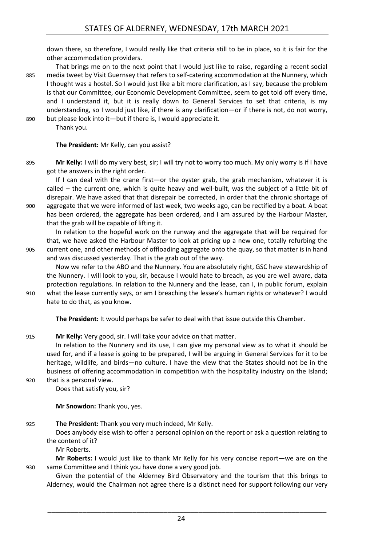down there, so therefore, I would really like that criteria still to be in place, so it is fair for the other accommodation providers.

That brings me on to the next point that I would just like to raise, regarding a recent social 885 media tweet by Visit Guernsey that refers to self-catering accommodation at the Nunnery, which I thought was a hostel. So I would just like a bit more clarification, as I say, because the problem is that our Committee, our Economic Development Committee, seem to get told off every time, and I understand it, but it is really down to General Services to set that criteria, is my understanding, so I would just like, if there is any clarification—or if there is not, do not worry, 890 but please look into it—but if there is, I would appreciate it.

Thank you.

**The President:** Mr Kelly, can you assist?

895 **Mr Kelly:** I will do my very best, sir; I will try not to worry too much. My only worry is if I have got the answers in the right order.

If I can deal with the crane first—or the oyster grab, the grab mechanism, whatever it is called – the current one, which is quite heavy and well-built, was the subject of a little bit of disrepair. We have asked that that disrepair be corrected, in order that the chronic shortage of 900 aggregate that we were informed of last week, two weeks ago, can be rectified by a boat. A boat

has been ordered, the aggregate has been ordered, and I am assured by the Harbour Master, that the grab will be capable of lifting it.

In relation to the hopeful work on the runway and the aggregate that will be required for that, we have asked the Harbour Master to look at pricing up a new one, totally refurbing the 905 current one, and other methods of offloading aggregate onto the quay, so that matter is in hand and was discussed yesterday. That is the grab out of the way.

Now we refer to the ABO and the Nunnery. You are absolutely right, GSC have stewardship of the Nunnery. I will look to you, sir, because I would hate to breach, as you are well aware, data protection regulations. In relation to the Nunnery and the lease, can I, in public forum, explain 910 what the lease currently says, or am I breaching the lessee's human rights or whatever? I would

hate to do that, as you know.

**The President:** It would perhaps be safer to deal with that issue outside this Chamber.

915 **Mr Kelly:** Very good, sir. I will take your advice on that matter.

In relation to the Nunnery and its use, I can give my personal view as to what it should be used for, and if a lease is going to be prepared, I will be arguing in General Services for it to be heritage, wildlife, and birds—no culture. I have the view that the States should not be in the business of offering accommodation in competition with the hospitality industry on the Island; 920 that is a personal view.

Does that satisfy you, sir?

**Mr Snowdon:** Thank you, yes.

925 **The President:** Thank you very much indeed, Mr Kelly.

Does anybody else wish to offer a personal opinion on the report or ask a question relating to the content of it?

Mr Roberts.

**Mr Roberts:** I would just like to thank Mr Kelly for his very concise report—we are on the 930 same Committee and I think you have done a very good job.

Given the potential of the Alderney Bird Observatory and the tourism that this brings to Alderney, would the Chairman not agree there is a distinct need for support following our very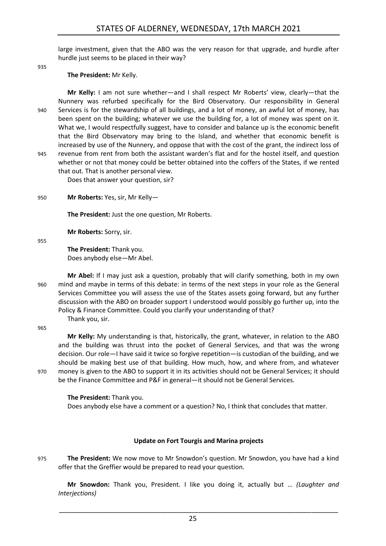large investment, given that the ABO was the very reason for that upgrade, and hurdle after hurdle just seems to be placed in their way?

935

**The President:** Mr Kelly.

**Mr Kelly:** I am not sure whether—and I shall respect Mr Roberts' view, clearly—that the Nunnery was refurbed specifically for the Bird Observatory. Our responsibility in General 940 Services is for the stewardship of all buildings, and a lot of money, an awful lot of money, has been spent on the building; whatever we use the building for, a lot of money was spent on it. What we, I would respectfully suggest, have to consider and balance up is the economic benefit that the Bird Observatory may bring to the Island, and whether that economic benefit is increased by use of the Nunnery, and oppose that with the cost of the grant, the indirect loss of 945 revenue from rent from both the assistant warden's flat and for the hostel itself, and question whether or not that money could be better obtained into the coffers of the States, if we rented that out. That is another personal view.

Does that answer your question, sir?

950 **Mr Roberts:** Yes, sir, Mr Kelly—

**The President:** Just the one question, Mr Roberts.

**Mr Roberts:** Sorry, sir.

955

**The President:** Thank you. Does anybody else—Mr Abel.

**Mr Abel:** If I may just ask a question, probably that will clarify something, both in my own 960 mind and maybe in terms of this debate: in terms of the next steps in your role as the General Services Committee you will assess the use of the States assets going forward, but any further discussion with the ABO on broader support I understood would possibly go further up, into the Policy & Finance Committee. Could you clarify your understanding of that? Thank you, sir.

965

**Mr Kelly:** My understanding is that, historically, the grant, whatever, in relation to the ABO and the building was thrust into the pocket of General Services, and that was the wrong decision. Our role—I have said it twice so forgive repetition—is custodian of the building, and we should be making best use of that building. How much, how, and where from, and whatever 970 money is given to the ABO to support it in its activities should not be General Services; it should be the Finance Committee and P&F in general—it should not be General Services.

**The President:** Thank you.

Does anybody else have a comment or a question? No, I think that concludes that matter.

#### **Update on Fort Tourgis and Marina projects**

<span id="page-24-0"></span>975 **The President:** We now move to Mr Snowdon's question. Mr Snowdon, you have had a kind offer that the Greffier would be prepared to read your question.

**Mr Snowdon:** Thank you, President. I like you doing it, actually but … *(Laughter and Interjections)*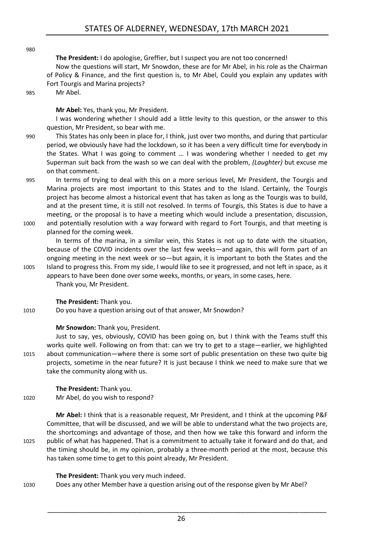980

**The President:** I do apologise, Greffier, but I suspect you are not too concerned! Now the questions will start, Mr Snowdon, these are for Mr Abel, in his role as the Chairman of Policy & Finance, and the first question is, to Mr Abel, Could you explain any updates with Fort Tourgis and Marina projects?

985 Mr Abel.

**Mr Abel:** Yes, thank you, Mr President.

I was wondering whether I should add a little levity to this question, or the answer to this question, Mr President, so bear with me.

- 990 This States has only been in place for, I think, just over two months, and during that particular period, we obviously have had the lockdown, so it has been a very difficult time for everybody in the States. What I was going to comment … I was wondering whether I needed to get my Superman suit back from the wash so we can deal with the problem, *(Laughter)* but excuse me on that comment.
- 995 In terms of trying to deal with this on a more serious level, Mr President, the Tourgis and Marina projects are most important to this States and to the Island. Certainly, the Tourgis project has become almost a historical event that has taken as long as the Tourgis was to build, and at the present time, it is still not resolved. In terms of Tourgis, this States is due to have a meeting, or the proposal is to have a meeting which would include a presentation, discussion, 1000 and potentially resolution with a way forward with regard to Fort Tourgis, and that meeting is

planned for the coming week.

In terms of the marina, in a similar vein, this States is not up to date with the situation, because of the COVID incidents over the last few weeks—and again, this will form part of an ongoing meeting in the next week or so—but again, it is important to both the States and the 1005 Island to progress this. From my side, I would like to see it progressed, and not left in space, as it

appears to have been done over some weeks, months, or years, in some cases, here. Thank you, Mr President.

**The President:** Thank you.

1010 Do you have a question arising out of that answer, Mr Snowdon?

#### **Mr Snowdon:** Thank you, President.

Just to say, yes, obviously, COVID has been going on, but I think with the Teams stuff this works quite well. Following on from that: can we try to get to a stage—earlier, we highlighted 1015 about communication—where there is some sort of public presentation on these two quite big projects, sometime in the near future? It is just because I think we need to make sure that we take the community along with us.

**The President:** Thank you. 1020 Mr Abel, do you wish to respond?

**Mr Abel:** I think that is a reasonable request, Mr President, and I think at the upcoming P&F Committee, that will be discussed, and we will be able to understand what the two projects are, the shortcomings and advantage of those, and then how we take this forward and inform the 1025 public of what has happened. That is a commitment to actually take it forward and do that, and the timing should be, in my opinion, probably a three-month period at the most, because this has taken some time to get to this point already, Mr President.

#### **The President:** Thank you very much indeed.

1030 Does any other Member have a question arising out of the response given by Mr Abel?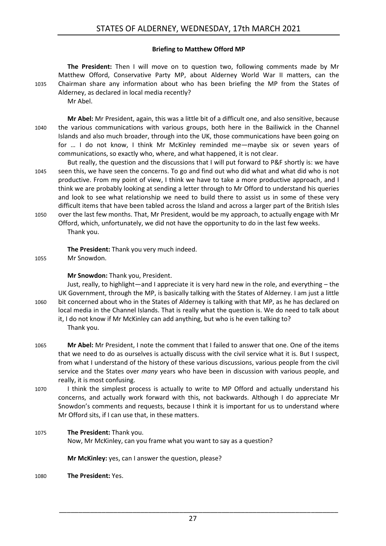#### **Briefing to Matthew Offord MP**

<span id="page-26-0"></span>**The President:** Then I will move on to question two, following comments made by Mr Matthew Offord, Conservative Party MP, about Alderney World War II matters, can the 1035 Chairman share any information about who has been briefing the MP from the States of Alderney, as declared in local media recently? Mr Abel.

**Mr Abel:** Mr President, again, this was a little bit of a difficult one, and also sensitive, because 1040 the various communications with various groups, both here in the Bailiwick in the Channel Islands and also much broader, through into the UK, those communications have been going on for … I do not know, I think Mr McKinley reminded me—maybe six or seven years of communications, so exactly who, where, and what happened, it is not clear.

But really, the question and the discussions that I will put forward to P&F shortly is: we have 1045 seen this, we have seen the concerns. To go and find out who did what and what did who is not productive. From my point of view, I think we have to take a more productive approach, and I think we are probably looking at sending a letter through to Mr Offord to understand his queries and look to see what relationship we need to build there to assist us in some of these very difficult items that have been tabled across the Island and across a larger part of the British Isles

1050 over the last few months. That, Mr President, would be my approach, to actually engage with Mr Offord, which, unfortunately, we did not have the opportunity to do in the last few weeks. Thank you.

**The President:** Thank you very much indeed.

1055 Mr Snowdon.

**Mr Snowdon:** Thank you, President.

Just, really, to highlight—and I appreciate it is very hard new in the role, and everything – the UK Government, through the MP, is basically talking with the States of Alderney. I am just a little 1060 bit concerned about who in the States of Alderney is talking with that MP, as he has declared on local media in the Channel Islands. That is really what the question is. We do need to talk about it, I do not know if Mr McKinley can add anything, but who is he even talking to? Thank you.

1065 **Mr Abel:** Mr President, I note the comment that I failed to answer that one. One of the items that we need to do as ourselves is actually discuss with the civil service what it is. But I suspect, from what I understand of the history of these various discussions, various people from the civil service and the States over *many* years who have been in discussion with various people, and really, it is most confusing.

- 1070 I think the simplest process is actually to write to MP Offord and actually understand his concerns, and actually work forward with this, not backwards. Although I do appreciate Mr Snowdon's comments and requests, because I think it is important for us to understand where Mr Offord sits, if I can use that, in these matters.
- 1075 **The President:** Thank you.

Now, Mr McKinley, can you frame what you want to say as a question?

**Mr McKinley:** yes, can I answer the question, please?

1080 **The President:** Yes.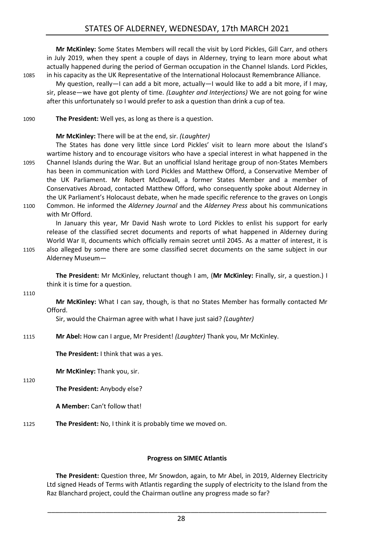## STATES OF ALDERNEY, WEDNESDAY, 17th MARCH 2021

**Mr McKinley:** Some States Members will recall the visit by Lord Pickles, Gill Carr, and others in July 2019, when they spent a couple of days in Alderney, trying to learn more about what actually happened during the period of German occupation in the Channel Islands. Lord Pickles, 1085 in his capacity as the UK Representative of the International Holocaust Remembrance Alliance.

My question, really—I can add a bit more, actually—I would like to add a bit more, if I may, sir, please—we have got plenty of time. *(Laughter and Interjections)* We are not going for wine after this unfortunately so I would prefer to ask a question than drink a cup of tea.

1090 **The President:** Well yes, as long as there is a question.

#### **Mr McKinley:** There will be at the end, sir. *(Laughter)*

The States has done very little since Lord Pickles' visit to learn more about the Island's wartime history and to encourage visitors who have a special interest in what happened in the 1095 Channel Islands during the War. But an unofficial Island heritage group of non-States Members has been in communication with Lord Pickles and Matthew Offord, a Conservative Member of the UK Parliament. Mr Robert McDowall, a former States Member and a member of Conservatives Abroad, contacted Matthew Offord, who consequently spoke about Alderney in the UK Parliament's Holocaust debate, when he made specific reference to the graves on Longis

1100 Common. He informed the *Alderney Journal* and the *Alderney Press* about his communications with Mr Offord.

In January this year, Mr David Nash wrote to Lord Pickles to enlist his support for early release of the classified secret documents and reports of what happened in Alderney during World War II, documents which officially remain secret until 2045. As a matter of interest, it is 1105 also alleged by some there are some classified secret documents on the same subject in our

Alderney Museum—

**The President:** Mr McKinley, reluctant though I am, (**Mr McKinley:** Finally, sir, a question.) I think it is time for a question.

1110

**Mr McKinley:** What I can say, though, is that no States Member has formally contacted Mr Offord.

Sir, would the Chairman agree with what I have just said? *(Laughter)*

1115 **Mr Abel:** How can I argue, Mr President! *(Laughter)* Thank you, Mr McKinley.

**The President:** I think that was a yes.

**Mr McKinley:** Thank you, sir.

1120

**The President:** Anybody else?

**A Member:** Can't follow that!

1125 **The President:** No, I think it is probably time we moved on.

#### **Progress on SIMEC Atlantis**

<span id="page-27-0"></span>**The President:** Question three, Mr Snowdon, again, to Mr Abel, in 2019, Alderney Electricity Ltd signed Heads of Terms with Atlantis regarding the supply of electricity to the Island from the Raz Blanchard project, could the Chairman outline any progress made so far?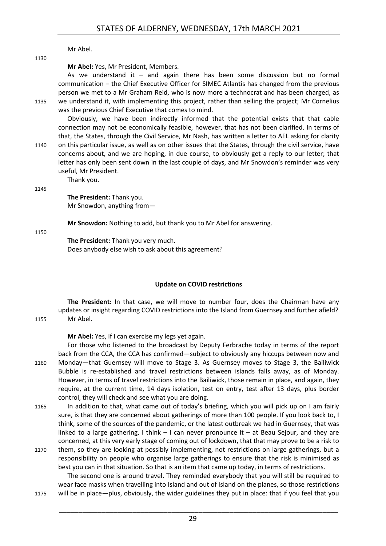Mr Abel.

Thank you.

**Mr Abel:** Yes, Mr President, Members.

As we understand it  $-$  and again there has been some discussion but no formal communication – the Chief Executive Officer for SIMEC Atlantis has changed from the previous person we met to a Mr Graham Reid, who is now more a technocrat and has been charged, as 1135 we understand it, with implementing this project, rather than selling the project; Mr Cornelius was the previous Chief Executive that comes to mind.

Obviously, we have been indirectly informed that the potential exists that that cable connection may not be economically feasible, however, that has not been clarified. In terms of that, the States, through the Civil Service, Mr Nash, has written a letter to AEL asking for clarity

1140 on this particular issue, as well as on other issues that the States, through the civil service, have concerns about, and we are hoping, in due course, to obviously get a reply to our letter; that letter has only been sent down in the last couple of days, and Mr Snowdon's reminder was very useful, Mr President.

1145

1130

**The President:** Thank you. Mr Snowdon, anything from—

**Mr Snowdon:** Nothing to add, but thank you to Mr Abel for answering.

1150

**The President:** Thank you very much. Does anybody else wish to ask about this agreement?

#### **Update on COVID restrictions**

<span id="page-28-0"></span>**The President:** In that case, we will move to number four, does the Chairman have any updates or insight regarding COVID restrictions into the Island from Guernsey and further afield? 1155 Mr Abel.

**Mr Abel:** Yes, if I can exercise my legs yet again.

For those who listened to the broadcast by Deputy Ferbrache today in terms of the report back from the CCA, the CCA has confirmed—subject to obviously any hiccups between now and 1160 Monday—that Guernsey will move to Stage 3. As Guernsey moves to Stage 3, the Bailiwick Bubble is re-established and travel restrictions between islands falls away, as of Monday. However, in terms of travel restrictions into the Bailiwick, those remain in place, and again, they require, at the current time, 14 days isolation, test on entry, test after 13 days, plus border control, they will check and see what you are doing.

- 1165 In addition to that, what came out of today's briefing, which you will pick up on I am fairly sure, is that they are concerned about gatherings of more than 100 people. If you look back to, I think, some of the sources of the pandemic, or the latest outbreak we had in Guernsey, that was linked to a large gathering, I think  $-1$  can never pronounce it  $-$  at Beau Sejour, and they are concerned, at this very early stage of coming out of lockdown, that that may prove to be a risk to
- 1170 them, so they are looking at possibly implementing, not restrictions on large gatherings, but a responsibility on people who organise large gatherings to ensure that the risk is minimised as best you can in that situation. So that is an item that came up today, in terms of restrictions. The second one is around travel. They reminded everybody that you will still be required to

wear face masks when travelling into Island and out of Island on the planes, so those restrictions 1175 will be in place—plus, obviously, the wider guidelines they put in place: that if you feel that you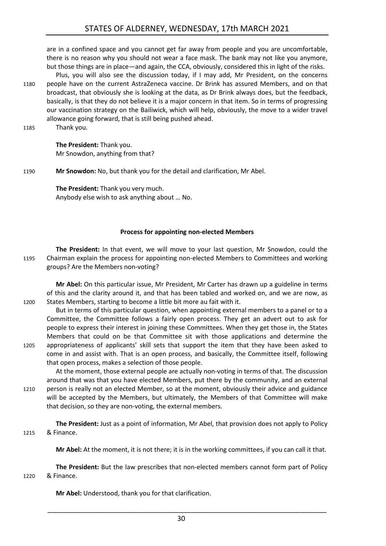are in a confined space and you cannot get far away from people and you are uncomfortable, there is no reason why you should not wear a face mask. The bank may not like you anymore, but those things are in place—and again, the CCA, obviously, considered this in light of the risks.

Plus, you will also see the discussion today, if I may add, Mr President, on the concerns 1180 people have on the current AstraZeneca vaccine. Dr Brink has assured Members, and on that broadcast, that obviously she is looking at the data, as Dr Brink always does, but the feedback, basically, is that they do not believe it is a major concern in that item. So in terms of progressing our vaccination strategy on the Bailiwick, which will help, obviously, the move to a wider travel allowance going forward, that is still being pushed ahead.

1185 Thank you.

**The President:** Thank you. Mr Snowdon, anything from that?

1190 **Mr Snowdon:** No, but thank you for the detail and clarification, Mr Abel.

**The President:** Thank you very much. Anybody else wish to ask anything about … No.

#### **Process for appointing non-elected Members**

<span id="page-29-0"></span>**The President:** In that event, we will move to your last question, Mr Snowdon, could the 1195 Chairman explain the process for appointing non-elected Members to Committees and working groups? Are the Members non-voting?

**Mr Abel:** On this particular issue, Mr President, Mr Carter has drawn up a guideline in terms of this and the clarity around it, and that has been tabled and worked on, and we are now, as 1200 States Members, starting to become a little bit more au fait with it.

But in terms of this particular question, when appointing external members to a panel or to a Committee, the Committee follows a fairly open process. They get an advert out to ask for people to express their interest in joining these Committees. When they get those in, the States Members that could on be that Committee sit with those applications and determine the 1205 appropriateness of applicants' skill sets that support the item that they have been asked to come in and assist with. That is an open process, and basically, the Committee itself, following that open process, makes a selection of those people.

At the moment, those external people are actually non-voting in terms of that. The discussion around that was that you have elected Members, put there by the community, and an external 1210 person is really not an elected Member, so at the moment, obviously their advice and guidance will be accepted by the Members, but ultimately, the Members of that Committee will make that decision, so they are non-voting, the external members.

**The President:** Just as a point of information, Mr Abel, that provision does not apply to Policy 1215 & Finance.

**Mr Abel:** At the moment, it is not there; it is in the working committees, if you can call it that.

**The President:** But the law prescribes that non-elected members cannot form part of Policy 1220 & Finance.

**Mr Abel:** Understood, thank you for that clarification.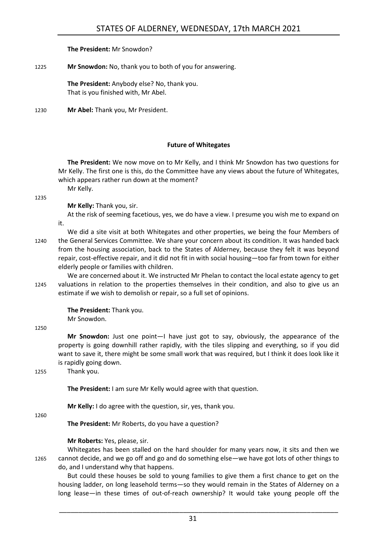#### **The President:** Mr Snowdon?

#### 1225 **Mr Snowdon:** No, thank you to both of you for answering.

**The President:** Anybody else? No, thank you. That is you finished with, Mr Abel.

1230 **Mr Abel:** Thank you, Mr President.

#### **Future of Whitegates**

<span id="page-30-0"></span>**The President:** We now move on to Mr Kelly, and I think Mr Snowdon has two questions for Mr Kelly. The first one is this, do the Committee have any views about the future of Whitegates, which appears rather run down at the moment? Mr Kelly.

1235

**Mr Kelly:** Thank you, sir.

At the risk of seeming facetious, yes, we do have a view. I presume you wish me to expand on it.

We did a site visit at both Whitegates and other properties, we being the four Members of 1240 the General Services Committee. We share your concern about its condition. It was handed back from the housing association, back to the States of Alderney, because they felt it was beyond repair, cost-effective repair, and it did not fit in with social housing—too far from town for either elderly people or families with children.

We are concerned about it. We instructed Mr Phelan to contact the local estate agency to get 1245 valuations in relation to the properties themselves in their condition, and also to give us an estimate if we wish to demolish or repair, so a full set of opinions.

**The President:** Thank you.

Mr Snowdon.

1250

**Mr Snowdon:** Just one point—I have just got to say, obviously, the appearance of the property is going downhill rather rapidly, with the tiles slipping and everything, so if you did want to save it, there might be some small work that was required, but I think it does look like it is rapidly going down.

1255 Thank you.

**The President:** I am sure Mr Kelly would agree with that question.

**Mr Kelly:** I do agree with the question, sir, yes, thank you.

1260

**The President:** Mr Roberts, do you have a question?

#### **Mr Roberts:** Yes, please, sir.

Whitegates has been stalled on the hard shoulder for many years now, it sits and then we 1265 cannot decide, and we go off and go and do something else—we have got lots of other things to do, and I understand why that happens.

But could these houses be sold to young families to give them a first chance to get on the housing ladder, on long leasehold terms—so they would remain in the States of Alderney on a long lease—in these times of out-of-reach ownership? It would take young people off the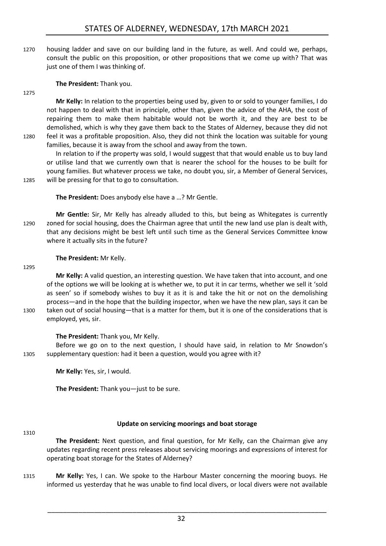1270 housing ladder and save on our building land in the future, as well. And could we, perhaps, consult the public on this proposition, or other propositions that we come up with? That was just one of them I was thinking of.

**The President:** Thank you.

1275

**Mr Kelly:** In relation to the properties being used by, given to or sold to younger families, I do not happen to deal with that in principle, other than, given the advice of the AHA, the cost of repairing them to make them habitable would not be worth it, and they are best to be demolished, which is why they gave them back to the States of Alderney, because they did not 1280 feel it was a profitable proposition. Also, they did not think the location was suitable for young families, because it is away from the school and away from the town.

In relation to if the property was sold, I would suggest that that would enable us to buy land or utilise land that we currently own that is nearer the school for the houses to be built for young families. But whatever process we take, no doubt you, sir, a Member of General Services, 1285 will be pressing for that to go to consultation.

**The President:** Does anybody else have a …? Mr Gentle.

**Mr Gentle:** Sir, Mr Kelly has already alluded to this, but being as Whitegates is currently 1290 zoned for social housing, does the Chairman agree that until the new land use plan is dealt with, that any decisions might be best left until such time as the General Services Committee know where it actually sits in the future?

**The President:** Mr Kelly.

#### 1295

**Mr Kelly:** A valid question, an interesting question. We have taken that into account, and one of the options we will be looking at is whether we, to put it in car terms, whether we sell it 'sold as seen' so if somebody wishes to buy it as it is and take the hit or not on the demolishing process—and in the hope that the building inspector, when we have the new plan, says it can be 1300 taken out of social housing—that is a matter for them, but it is one of the considerations that is employed, yes, sir.

**The President:** Thank you, Mr Kelly.

Before we go on to the next question, I should have said, in relation to Mr Snowdon's 1305 supplementary question: had it been a question, would you agree with it?

**Mr Kelly:** Yes, sir, I would.

**The President:** Thank you—just to be sure.

#### **Update on servicing moorings and boat storage**

1310

<span id="page-31-0"></span>**The President:** Next question, and final question, for Mr Kelly, can the Chairman give any updates regarding recent press releases about servicing moorings and expressions of interest for operating boat storage for the States of Alderney?

1315 **Mr Kelly:** Yes, I can. We spoke to the Harbour Master concerning the mooring buoys. He informed us yesterday that he was unable to find local divers, or local divers were not available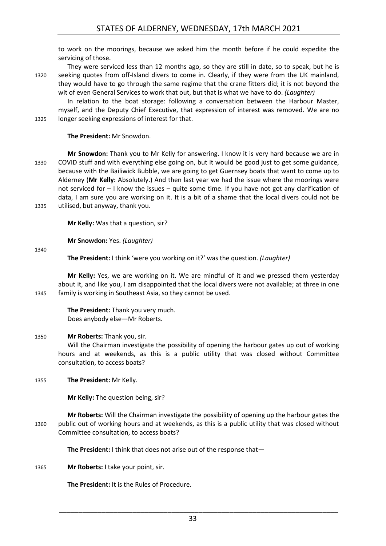to work on the moorings, because we asked him the month before if he could expedite the servicing of those.

They were serviced less than 12 months ago, so they are still in date, so to speak, but he is 1320 seeking quotes from off-Island divers to come in. Clearly, if they were from the UK mainland, they would have to go through the same regime that the crane fitters did; it is not beyond the wit of even General Services to work that out, but that is what we have to do. *(Laughter)*

In relation to the boat storage: following a conversation between the Harbour Master, myself, and the Deputy Chief Executive, that expression of interest was removed. We are no 1325 longer seeking expressions of interest for that.

**The President:** Mr Snowdon.

**Mr Snowdon:** Thank you to Mr Kelly for answering. I know it is very hard because we are in 1330 COVID stuff and with everything else going on, but it would be good just to get some guidance, because with the Bailiwick Bubble, we are going to get Guernsey boats that want to come up to Alderney (**Mr Kelly:** Absolutely.) And then last year we had the issue where the moorings were not serviced for – I know the issues – quite some time. If you have not got any clarification of data, I am sure you are working on it. It is a bit of a shame that the local divers could not be 1335 utilised, but anyway, thank you.

**Mr Kelly:** Was that a question, sir?

**Mr Snowdon:** Yes. *(Laughter)*

1340

**The President:** I think 'were you working on it?' was the question. *(Laughter)*

**Mr Kelly:** Yes, we are working on it. We are mindful of it and we pressed them yesterday about it, and like you, I am disappointed that the local divers were not available; at three in one 1345 family is working in Southeast Asia, so they cannot be used.

> **The President:** Thank you very much. Does anybody else—Mr Roberts.

#### 1350 **Mr Roberts:** Thank you, sir.

Will the Chairman investigate the possibility of opening the harbour gates up out of working hours and at weekends, as this is a public utility that was closed without Committee consultation, to access boats?

1355 **The President:** Mr Kelly.

**Mr Kelly:** The question being, sir?

**Mr Roberts:** Will the Chairman investigate the possibility of opening up the harbour gates the 1360 public out of working hours and at weekends, as this is a public utility that was closed without Committee consultation, to access boats?

**The President:** I think that does not arise out of the response that—

1365 **Mr Roberts:** I take your point, sir.

**The President:** It is the Rules of Procedure.